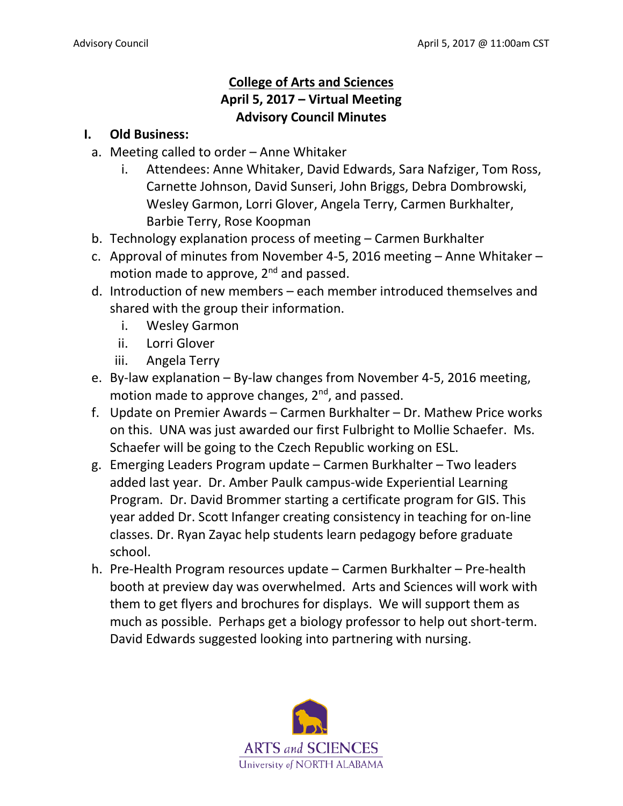## **College of Arts and Sciences April 5, 2017 – Virtual Meeting Advisory Council Minutes**

## **I. Old Business:**

- a. Meeting called to order Anne Whitaker
	- i. Attendees: Anne Whitaker, David Edwards, Sara Nafziger, Tom Ross, Carnette Johnson, David Sunseri, John Briggs, Debra Dombrowski, Wesley Garmon, Lorri Glover, Angela Terry, Carmen Burkhalter, Barbie Terry, Rose Koopman
- b. Technology explanation process of meeting Carmen Burkhalter
- c. Approval of minutes from November 4-5, 2016 meeting Anne Whitaker motion made to approve, 2<sup>nd</sup> and passed.
- d. Introduction of new members each member introduced themselves and shared with the group their information.
	- i. Wesley Garmon
	- ii. Lorri Glover
	- iii. Angela Terry
- e. By-law explanation By-law changes from November 4-5, 2016 meeting, motion made to approve changes,  $2^{nd}$ , and passed.
- f. Update on Premier Awards Carmen Burkhalter Dr. Mathew Price works on this. UNA was just awarded our first Fulbright to Mollie Schaefer. Ms. Schaefer will be going to the Czech Republic working on ESL.
- g. Emerging Leaders Program update Carmen Burkhalter Two leaders added last year. Dr. Amber Paulk campus-wide Experiential Learning Program. Dr. David Brommer starting a certificate program for GIS. This year added Dr. Scott Infanger creating consistency in teaching for on-line classes. Dr. Ryan Zayac help students learn pedagogy before graduate school.
- h. Pre-Health Program resources update Carmen Burkhalter Pre-health booth at preview day was overwhelmed. Arts and Sciences will work with them to get flyers and brochures for displays. We will support them as much as possible. Perhaps get a biology professor to help out short-term. David Edwards suggested looking into partnering with nursing.